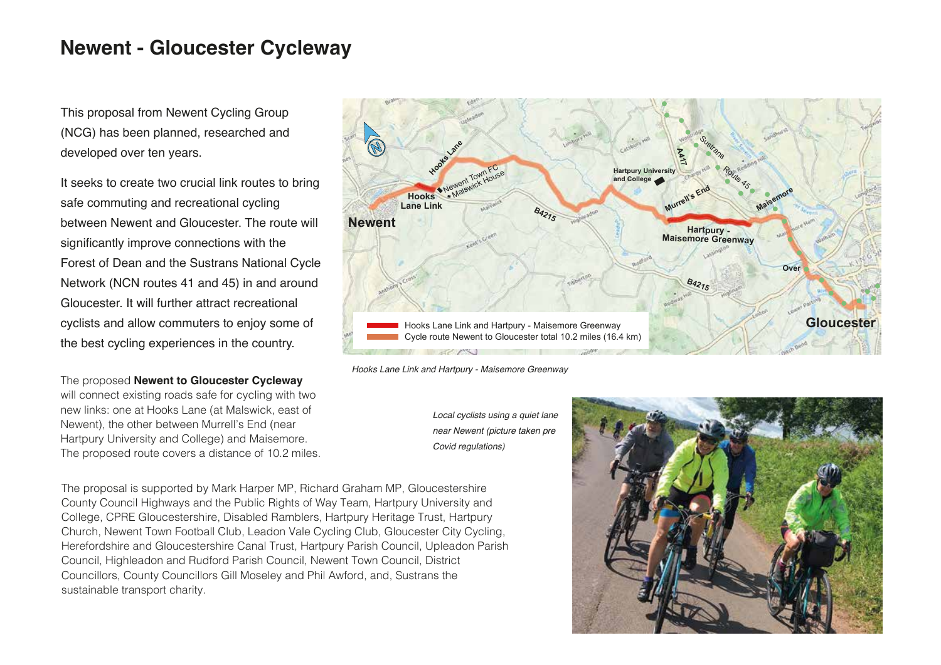## **Newent - Gloucester Cycleway**

This proposal from Newent Cycling Group (NCG) has been planned, researched and developed over ten years.

It seeks to create two crucial link routes to bring safe commuting and recreational cycling between Newent and Gloucester. The route will significantly improve connections with the Forest of Dean and the Sustrans National Cycle Network (NCN routes 41 and 45) in and around Gloucester. It will further attract recreational cyclists and allow commuters to enjoy some of the best cycling experiences in the country.

The proposed **Newent to Gloucester Cycleway** will connect existing roads safe for cycling with two new links: one at Hooks Lane (at Malswick, east of Newent), the other between Murrell's End (near Hartpury University and College) and Maisemore. The proposed route covers a distance of 10.2 miles.

The proposal is supported by Mark Harper MP, Richard Graham MP, Gloucestershire County Council Highways and the Public Rights of Way Team, Hartpury University and College, CPRE Gloucestershire, Disabled Ramblers, Hartpury Heritage Trust, Hartpury Church, Newent Town Football Club, Leadon Vale Cycling Club, Gloucester City Cycling, Herefordshire and Gloucestershire Canal Trust, Hartpury Parish Council, Upleadon Parish Council, Highleadon and Rudford Parish Council, Newent Town Council, District Councillors, County Councillors Gill Moseley and Phil Awford, and, Sustrans the sustainable transport charity.



*Hooks Lane Link and Hartpury - Maisemore Greenway*

*Local cyclists using a quiet lane near Newent (picture taken pre Covid regulations)*

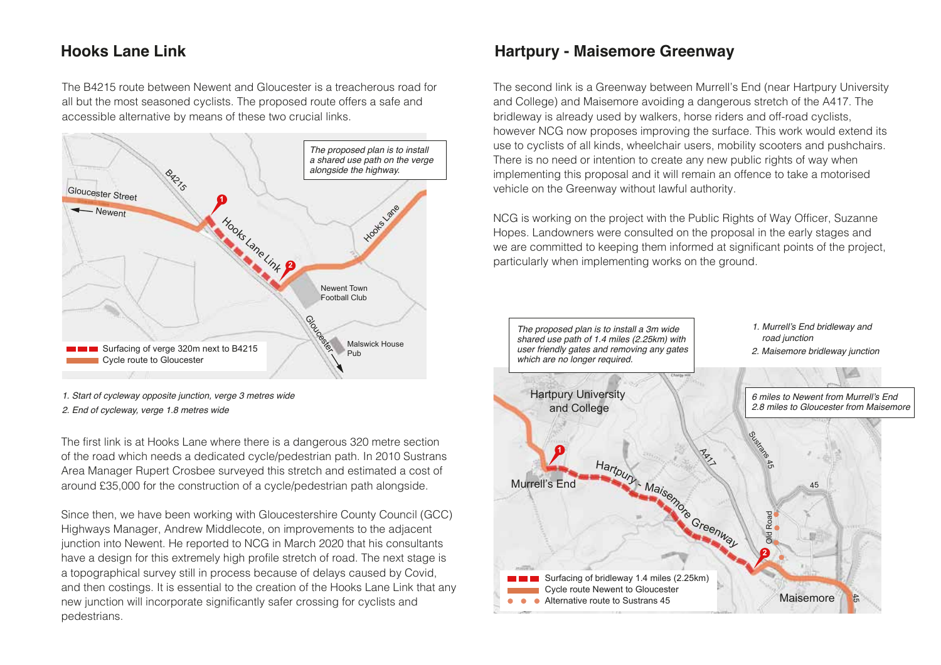## **Hooks Lane Link**

The B4215 route between Newent and Gloucester is a treacherous road for all but the most seasoned cyclists. The proposed route offers a safe and accessible alternative by means of these two crucial links.

![](_page_1_Figure_2.jpeg)

<sup>1.</sup> Start of cycleway opposite junction, verge 3 metres wide 2. End of cycleway, verge 1.8 metres wide

The first link is at Hooks Lane where there is a dangerous 320 metre section of the road which needs a dedicated cycle/pedestrian path. In 2010 Sustrans Area Manager Rupert Crosbee surveyed this stretch and estimated a cost of around £35,000 for the construction of a cycle/pedestrian path alongside.

Since then, we have been working with Gloucestershire County Council (GCC) Highways Manager, Andrew Middlecote, on improvements to the adjacent junction into Newent. He reported to NCG in March 2020 that his consultants have a design for this extremely high profile stretch of road. The next stage is a topographical survey still in process because of delays caused by Covid, and then costings. It is essential to the creation of the Hooks Lane Link that any new junction will incorporate significantly safer crossing for cyclists and pedestrians.

## **Hartpury - Maisemore Greenway**

The second link is a Greenway between Murrell's End (near Hartpury University and College) and Maisemore avoiding a dangerous stretch of the A417. The bridleway is already used by walkers, horse riders and off-road cyclists, however NCG now proposes improving the surface. This work would extend its use to cyclists of all kinds, wheelchair users, mobility scooters and pushchairs. There is no need or intention to create any new public rights of way when implementing this proposal and it will remain an offence to take a motorised vehicle on the Greenway without lawful authority.

NCG is working on the project with the Public Rights of Way Officer, Suzanne Hopes. Landowners were consulted on the proposal in the early stages and we are committed to keeping them informed at significant points of the project, particularly when implementing works on the ground.

![](_page_1_Figure_9.jpeg)